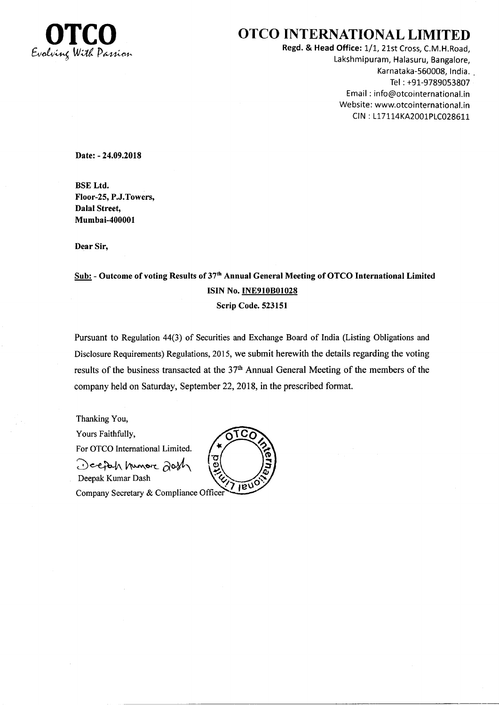

#### OTCO INTERNATIONAL LIMITED

Regd. & Head Office: 1/1, 21st Cross, C.M.H.Road, Lakshmipuram, Halasuru, Bangalore, Karnataka-560008, India. Tel : +91-9789053807 Email : info@otcointernational.in Website: www.otcointernational.in CIN : L17114KA2001PLC028611

Date: - 24.09.2018

BSE Ltd. Floor-25, P.J.Towers, Dalal Street, Mumbai-400001

Dear Sir,

### Sub: - Outcome of voting Results of 37<sup>th</sup> Annual General Meeting of OTCO International Limited ISIN No.INE910B01028

Scrip Code. 523151

Pursuant to Regulation 44(3) of Securities and Exchange Board of India (Listing Obligations and Disclosure Requirements) Regulations, 2015, we submit herewith the details regarding the voting results of the business transacted at the 37<sup>th</sup> Annual General Meeting of the members of the company held on Saturday, September 22,2018, in the prescribed format.

Thanking You, Yours Faithfully, For OTCO Intemational Limited. σ Deepth Innore 20sh  $\ddot{\text{o}}$ Deepak Kumar Dash Company Secretary & Compliance Officer

<u> 109</u> TIEUS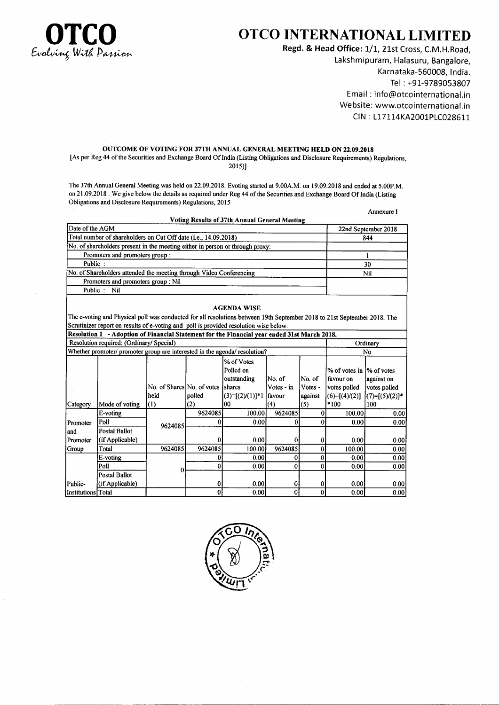

### OTCO INTERNATIONAL LIMITED

Regd. & Head Office: 1/1, 21st Cross, C.M.H.Road, Lakshmipuram, Halasuru, Bangalore, Karnataka-560008, India. Tel : +91-9789053807 Email : info@otcointernational.in Website: www.otcointernational.in CIN: L17114KA2001PLC028611

Annexure I

#### OUTCOME OF VOTING FOR 37TH ANNUAL GENERAL MEETING HELD ON 22.09.2018

[As per Reg 44 of the Securities and Exchange Board Of India (Listing Obligations and Disclosure Requirements) Regulations, 2015)I

The 37th Annual General Meeting was held on 22.09.2018. Evoting started at 9.00A.M. on 19.09.2018 and ended at 5.00P.M. on 21.09.2018 . We give below the details as required under Reg 44 of the Securities and Exchange Board Of India (Listing Obligations and Disclosure Requirements) Regulations, 2015

|                    |                                                                                                                                                                                                                   |                            |                | Voting Results of 37th Annual General Meeting |                |              |                           |                     |
|--------------------|-------------------------------------------------------------------------------------------------------------------------------------------------------------------------------------------------------------------|----------------------------|----------------|-----------------------------------------------|----------------|--------------|---------------------------|---------------------|
| Date of the AGM    |                                                                                                                                                                                                                   |                            |                |                                               |                |              |                           | 22nd September 2018 |
|                    | Total number of shareholders on Cut Off date (i.e., 14.09.2018)                                                                                                                                                   |                            | 844            |                                               |                |              |                           |                     |
|                    | No. of shareholders present in the meeting either in person or through proxy:                                                                                                                                     |                            |                |                                               |                |              |                           |                     |
|                    | Promoters and promoters group:                                                                                                                                                                                    |                            | 1              |                                               |                |              |                           |                     |
| Public:            |                                                                                                                                                                                                                   |                            | 30             |                                               |                |              |                           |                     |
|                    | No. of Shareholders attended the meeting through Video Conferencing                                                                                                                                               |                            |                |                                               |                |              |                           | Nil                 |
|                    | Promoters and promoters group : Nil                                                                                                                                                                               |                            |                |                                               |                |              |                           |                     |
| Public:            | Nil                                                                                                                                                                                                               |                            |                |                                               |                |              |                           |                     |
|                    | The e-voting and Physical poll was conducted for all resolutions between 19th September 2018 to 21st September 2018. The<br>Scrutinizer report on results of e-voting and poll is provided resolution wise below: |                            |                | <b>AGENDA WISE</b>                            |                |              |                           |                     |
|                    | Resolution 1 - Adoption of Financial Statement for the Financial year ended 31st March 2018.                                                                                                                      |                            |                |                                               |                |              |                           |                     |
|                    | Resolution required: (Ordinary/ Special)                                                                                                                                                                          |                            |                |                                               |                |              |                           | Ordinary            |
|                    | Whether promoter/ promoter group are interested in the agenda/ resolution?                                                                                                                                        |                            |                |                                               |                |              | N <sub>0</sub>            |                     |
|                    |                                                                                                                                                                                                                   |                            |                | % of Votes                                    |                |              |                           |                     |
|                    |                                                                                                                                                                                                                   |                            |                | Polled on                                     |                |              | % of votes in 1% of votes |                     |
|                    |                                                                                                                                                                                                                   |                            |                | outstanding                                   | No. of         | No. of       | favour on                 | against on          |
|                    |                                                                                                                                                                                                                   | No. of Shares No. of votes |                | <b>Shares</b>                                 | Votes - in     | Votes -      | votes polled              | votes polled        |
|                    |                                                                                                                                                                                                                   | held                       | polled         | $(3)=[(2)(1)]$ *1<br>00                       | <i>favour</i>  | against      | $(6)=[(4)/(2)]$<br>*100   | $(7)=[(5)(2)]^*$    |
| Category           | Mode of voting                                                                                                                                                                                                    | (1)                        | (2)<br>9624085 | 100.00                                        | (4)<br>9624085 | (5)          | 100.00                    | 100<br>0.00         |
|                    | E-voting<br>Poll                                                                                                                                                                                                  |                            | 0              | 0.00                                          | 0              | 0<br>0       | 0.00                      | 0.00                |
| Promoter<br>and    | <b>Postal Ballot</b>                                                                                                                                                                                              | 9624085                    |                |                                               |                |              |                           |                     |
| Promoter           | (if Applicable)                                                                                                                                                                                                   |                            | 0              | 0.00                                          | 0              | $\bf{0}$     | 0.00                      | 0.00                |
| Group              | Total                                                                                                                                                                                                             | 9624085                    | 9624085        | 100.00                                        | 9624085        | $\mathbf{0}$ | 100.00                    | 0.00                |
|                    | E-voting                                                                                                                                                                                                          |                            | 0              | 0.00                                          | 0              | 0            | 0.00                      | 0.00                |
|                    | Poll                                                                                                                                                                                                              |                            | $\mathbf 0$    | 0.00                                          | 0              | 0            | 0.00                      | 0.00                |
|                    | <b>Postal Ballot</b>                                                                                                                                                                                              | 0                          |                |                                               |                |              |                           |                     |
| Public-            | (if Applicable)                                                                                                                                                                                                   |                            | 0              | 0.00                                          | 0              | 0            | 0.00                      | 0.00                |
| Institutions Total |                                                                                                                                                                                                                   |                            | 0              | 0.00                                          | $\bf{0}$       | $\mathbf{0}$ | 0.00                      | 0.00                |

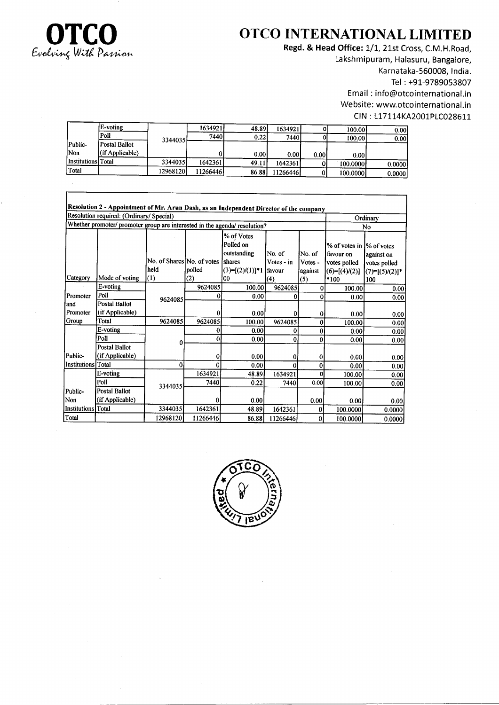

 $\Gamma$ 

## OTCO INTERNATIONAL LIMITED

Regd. & Head Office: 1/1, 21st Cross, C.M.H.Road, Lakshmipuram, Halasuru, Bangalore, Karnataka-560008, India. Tel: +91-9789053807 Email: info@otcointernational.in Website: www.otcointernational.in CIN: L17114KA2001PLC028611

|                    | E-voting        |           | 1634921  | 48.89 | 1634921  |       | 100.00   | 0.00   |
|--------------------|-----------------|-----------|----------|-------|----------|-------|----------|--------|
|                    | Poll            | 3344035   | 7440     | 0.22  | 7440 l   |       | 100.00   | 0.00   |
| Public-            | Postal Ballot   |           |          |       |          |       |          |        |
| <b>Non</b>         | (if Applicable) |           |          | 0.00  | 0.00     | 0.001 | 0.001    |        |
| Institutions Total |                 | 3344035   | 1642361  | 49.11 | 16423611 |       | 100.0000 | 0.0000 |
| Total              |                 | 129681201 | 11266446 | 86.88 | 11266446 |       | 100.0000 | 0.0000 |

|                     | Resolution 2 - Appointment of Mr. Arun Dash, as an Independent Director of the company |                            |          |                                                  |                      |                   |                                                        |                                  |
|---------------------|----------------------------------------------------------------------------------------|----------------------------|----------|--------------------------------------------------|----------------------|-------------------|--------------------------------------------------------|----------------------------------|
|                     | Resolution required: (Ordinary/ Special)                                               |                            | Ordinary |                                                  |                      |                   |                                                        |                                  |
|                     | Whether promoter/ promoter group are interested in the agenda/ resolution?             |                            | No       |                                                  |                      |                   |                                                        |                                  |
|                     |                                                                                        | No. of Shares No. of votes |          | % of Votes<br>Polled on<br>outstanding<br>shares | No. of<br>Votes - in | No. of<br>Votes - | % of votes in 1% of votes<br>favour on<br>votes polled | against on                       |
|                     |                                                                                        | held                       | polled   | $(3)=[(2)/(1)]*1$                                | favour               | against           | $(6)=[(4)/(2)]$                                        | votes polled<br>$(7)=[(5)/(2)]*$ |
| Category            | Mode of voting                                                                         | $\vert(1)\vert$            | (2)      | ٥o                                               | (4)                  | (5)               | *100                                                   | 100                              |
|                     | E-voting                                                                               |                            | 9624085  | 100.00                                           | 9624085              | 0                 | 100.00                                                 | 0.00                             |
| Promoter            | Poll                                                                                   | 9624085                    | 0        | 0.00                                             | 0                    | $\bf{0}$          | 0.00                                                   | 0.00                             |
| and                 | <b>Postal Ballot</b>                                                                   |                            |          |                                                  |                      |                   |                                                        |                                  |
| Promoter            | (if Applicable)                                                                        |                            | ∩        | 0.00                                             | 0                    | $\mathbf{0}$      | 0.00                                                   | 0.00                             |
| Group               | Total                                                                                  | 9624085                    | 9624085  | 100.00                                           | 9624085              | $\bf{0}$          | 100.00                                                 | 0.00                             |
|                     | E-voting                                                                               |                            | 0        | 0.00                                             | 0                    | $\bf{0}$          | 0.00                                                   | 0.00                             |
|                     | Poll                                                                                   | 0                          | 0        | 0.00                                             | 0                    | 0                 | 0.00                                                   | 0.00                             |
| Public-             | <b>Postal Ballot</b><br>(if Applicable)                                                |                            | 0        | 0.00                                             | 0                    | 0                 | 0.00                                                   | 0.00                             |
| Institutions Total  |                                                                                        | 0                          | 0        | 0.00                                             | 0                    | 0                 | 0.00                                                   | 0.00                             |
|                     | E-voting                                                                               |                            | 1634921  | 48.89                                            | 1634921              | o                 | 100.00                                                 | 0.00                             |
|                     | Poll                                                                                   |                            | 7440     | 0.22                                             | 7440                 | 0.00              | 100.00                                                 | 0.00                             |
| Public-             | <b>Postal Ballot</b>                                                                   | 3344035                    |          |                                                  |                      |                   |                                                        |                                  |
| Non                 | (if Applicable)                                                                        |                            | 0        | 0.00                                             |                      | 0.00              | 0.00                                                   | 0.00                             |
| <b>Institutions</b> | Total                                                                                  | 3344035                    | 1642361  | 48.89                                            | 1642361              | 0                 | 100.0000                                               | 0.0000                           |
| Total               |                                                                                        | 12968120                   | 11266446 | 86.88                                            | 11266446             | 0                 | 100.0000                                               | 0.0000                           |

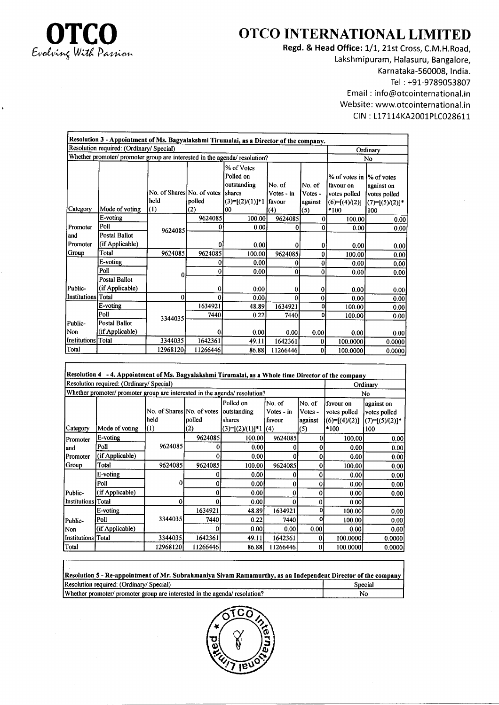

## OTCO INTERNATIONAL LIMITED

Regd. & Head Office: 1/1, 21st Cross, C.M.H.Road, Lakshmipuram, Halasuru, Bangalore, Karnataka-560008, India. Tel : +91-9789053807 Email : info@otcointernational.in Website: www.otcointernational.in CIN: L17114KA2001PLC028611

|                    | Resolution 3 - Appointment of Ms. Bagyalakshmi Tirumalai, as a Director of the company. |                                           |               |                                                                                    |                                       |                                     |                                                                                   |                                                       |
|--------------------|-----------------------------------------------------------------------------------------|-------------------------------------------|---------------|------------------------------------------------------------------------------------|---------------------------------------|-------------------------------------|-----------------------------------------------------------------------------------|-------------------------------------------------------|
|                    | Resolution required: (Ordinary/ Special)                                                |                                           |               |                                                                                    |                                       |                                     |                                                                                   | Ordinary                                              |
|                    | Whether promoter/ promoter group are interested in the agenda/ resolution?              |                                           |               | No                                                                                 |                                       |                                     |                                                                                   |                                                       |
| Category           | Mode of voting                                                                          | No. of Shares No. of votes<br>held<br>(1) | polled<br>(2) | % of Votes<br>Polled on<br>outstanding<br><b>Shares</b><br>$(3)=[(2)(1)]*1$<br>'00 | No. of<br>Votes - in<br>favour<br>(4) | No. of<br>Votes -<br>against<br>(5) | % of votes in 1% of votes<br>favour on<br>votes polled<br>$(6)=[(4)/(2)]$<br>*100 | against on<br>votes polled<br>$(7)=[(5)/(2)]*$<br>100 |
|                    | E-voting                                                                                |                                           | 9624085       | 100.00                                                                             | 9624085                               | 0                                   | 100.00                                                                            | 0.00                                                  |
| Promoter           | Poll                                                                                    | 9624085                                   | 0             | 0.00                                                                               | 0                                     | $\mathbf{0}$                        | 0.00                                                                              | 0.00                                                  |
| and                | <b>Postal Ballot</b>                                                                    |                                           |               |                                                                                    |                                       |                                     |                                                                                   |                                                       |
| Promoter           | (if Applicable)                                                                         |                                           |               | 0.001                                                                              | 0                                     | $\bf{0}$                            | 0.00                                                                              | 0.00                                                  |
| Group              | Total                                                                                   | 9624085                                   | 9624085       | 100.00                                                                             | 9624085                               | $\bf{0}$                            | 100.00                                                                            | 0.00                                                  |
|                    | E-voting                                                                                |                                           |               | 0.00                                                                               | 0                                     | 0                                   | 0.00                                                                              | 0.00 <sub>l</sub>                                     |
|                    | Poll                                                                                    | 0                                         | 0             | 0.00                                                                               | 0                                     | $\bf{0}$                            | 0.00                                                                              | 0.00                                                  |
| Public-            | Postal Ballot<br>(if Applicable)                                                        |                                           | 0             | 0.00                                                                               | 0                                     | 0                                   | 0.00                                                                              | 0.00                                                  |
| Institutions Total |                                                                                         | 0                                         | 0             | 0.00                                                                               | 0                                     | $\bf{0}$                            | 0.00                                                                              | 0.00                                                  |
|                    | E-voting                                                                                |                                           | 1634921       | 48.89                                                                              | 1634921                               | $\bf{o}$                            | 100.00                                                                            | 0.00                                                  |
|                    | Poll                                                                                    | 3344035                                   | 7440          | 0.22                                                                               | 7440                                  | 0                                   | 100.00                                                                            | 0.00                                                  |
| Public-            | <b>Postal Ballot</b>                                                                    |                                           |               |                                                                                    |                                       |                                     |                                                                                   |                                                       |
| Non                | (if Applicable)                                                                         |                                           | 0             | 0.00                                                                               | 0.00                                  | 0.00                                | 0.00                                                                              | 0.00                                                  |
| Institutions Total |                                                                                         | 3344035                                   | 1642361       | 49.11                                                                              | 1642361                               | 0                                   | 100.0000                                                                          | 0.0000                                                |
| Total              |                                                                                         | 12968120                                  | 11266446      | 86.88                                                                              | 11266446                              | 0                                   | 100.0000                                                                          | 0.00001                                               |

| Resolution 4 - 4. Appointment of Ms. Bagyalakshmi Tirumalai, as a Whole time Director of the company |                                                                            |                            |          |                         |            |                |                 |                  |
|------------------------------------------------------------------------------------------------------|----------------------------------------------------------------------------|----------------------------|----------|-------------------------|------------|----------------|-----------------|------------------|
|                                                                                                      | Resolution required: (Ordinary/ Special)<br>Ordinary                       |                            |          |                         |            |                |                 |                  |
|                                                                                                      | Whether promoter/ promoter group are interested in the agenda/ resolution? |                            | No       |                         |            |                |                 |                  |
|                                                                                                      |                                                                            |                            |          | Polled on               | No. of     | No. of         | favour on       | against on       |
|                                                                                                      |                                                                            | No. of Shares No. of votes |          | outstanding             | Votes - in | Votes -        | votes polled    | votes polled     |
|                                                                                                      |                                                                            | held                       | polled   | shares                  | favour     | against        | $(6)=[(4)/(2)]$ | $(7)=[(5)/(2)]*$ |
| Category                                                                                             | Mode of voting                                                             | (1)                        | (2)      | $(3)=[(2)(1)]$ *1 $(4)$ |            | (5)            | *100            | 100              |
| Promoter                                                                                             | E-voting                                                                   |                            | 9624085  | 100.00                  | 9624085    | $\overline{0}$ | 100.00          | 0.00             |
| land                                                                                                 | Poll                                                                       | 9624085                    | 0        | 0.00                    | 0          | 0              | 0.00            | 0.00             |
| Promoter                                                                                             | (if Applicable)                                                            |                            | 0        | 0.00                    | 0          | 0              | 0.00            | 0.00             |
| Group                                                                                                | Total                                                                      | 9624085                    | 9624085  | 100.00                  | 9624085    | 0              | 100.00          | 0.00             |
|                                                                                                      | E-voting                                                                   |                            |          | 0.00                    | 0          | 0              | 0.00            | 0.00             |
|                                                                                                      | Poll                                                                       | 0                          | 0        | 0.001                   | 0          | 0              | 0.00            | 0.00             |
| Public-                                                                                              | (if Applicable)                                                            |                            | 0        | 0.00                    | 0          | 0              | 0.00            | 0.00             |
| Institutions Total                                                                                   |                                                                            | 0                          | 0        | 0.001                   | 0          | 0              | 0.00            |                  |
|                                                                                                      | E-voting                                                                   |                            | 1634921  | 48.89                   | 1634921    | O.             | 100.00          | 0.00             |
| Public-                                                                                              | Poll                                                                       | 3344035                    | 7440     | 0.22                    | 7440       | 0              | 100.00          | 0.00             |
| Non                                                                                                  | (if Applicable)                                                            |                            |          | 0.00                    | 0.001      | 0.00           | 0.00            | 0.00             |
| Institutions   Total                                                                                 |                                                                            | 3344035                    | 1642361  | 49.11                   | 1642361    | 0              | 100.0000        | 0.0000           |
| Total                                                                                                |                                                                            | 129681201                  | 11266446 | 86.88                   | 11266446   | 0              | 100.0000        | 0.0000           |

| Resolution 5 - Re-appointment of Mr. Subrahmaniya Sivam Ramamurthy, as an Independent Director of the company |         |
|---------------------------------------------------------------------------------------------------------------|---------|
| Resolution required: (Ordinary/Special)                                                                       | Special |
| Whether promoter/ promoter group are interested in the agenda/ resolution?                                    | N٥      |

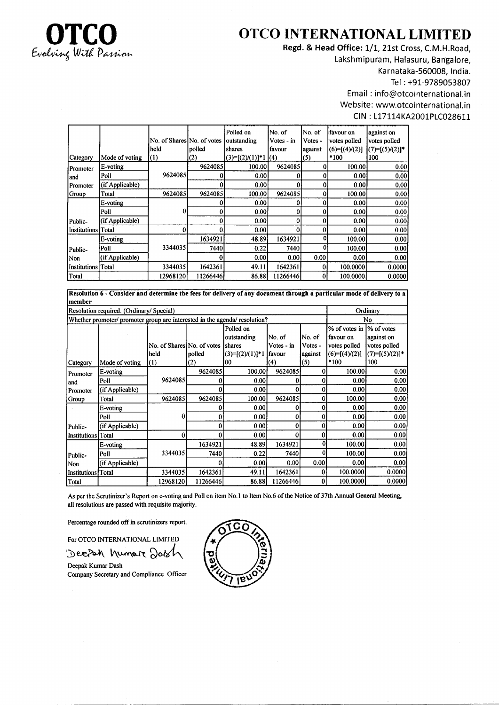

# TCO OTCO INTERNATIONAL LIMITED

Regd. & Head Office: 1/1, 21st Cross, C.M.H.Road, Lakshmipuram, Halasuru, Bangalore, Karnataka-560008, India. Tel : +91-9789053807 Email : info@otcointernational.in Website: www.otcointernational.in CIN: L17114KA2001PLC028611

|                      |                 | No. of Shares No. of votes<br>held | polled            | Polled on<br>outstanding<br>shares | No. of<br>$Votes - in$<br>favour | No. of<br>Votes -<br>against | favour on<br>votes polled<br>$(6)=[(4)(2)]$ | against on<br>votes polled<br>$(7)=[(5)(2)]^*$ |
|----------------------|-----------------|------------------------------------|-------------------|------------------------------------|----------------------------------|------------------------------|---------------------------------------------|------------------------------------------------|
| Category             | Mode of voting  | $\vert(1)$                         | $\left( 2\right)$ | $(3)=[(2)/(1)]+1$ (4)              |                                  | (5)                          | *100                                        | 100                                            |
| Promoter             | E-voting        |                                    | 9624085           | 100.00                             | 9624085                          | 0                            | 100.00                                      | 0.00                                           |
| land                 | Poll            | 9624085                            | 0                 | 0.001                              | 0                                | 0                            | 0.00                                        | 0.00                                           |
| Promoter             | (if Applicable) |                                    |                   | 0.00                               | 0                                | 0                            | 0.001                                       | 0.00                                           |
| Group                | Total           | 9624085                            | 9624085           | 100.00                             | 9624085                          | 0                            | 100.00                                      | 0.00                                           |
|                      | E-voting        |                                    |                   | 0.00                               | 0                                | 0                            | 0.00                                        | 0.00                                           |
|                      | Poll            | 0                                  | 0                 | 0.001                              | 0                                | $\bf{0}$                     | 0.00                                        | 0.00                                           |
| Public-              | (if Applicable) |                                    |                   | 0.001                              | 0                                | 0                            | 0.00                                        | 0.00                                           |
| Institutions   Total |                 |                                    |                   | 0.00                               |                                  | 0                            | 0.00                                        | 0.00                                           |
|                      | E-voting        |                                    | 1634921           | 48.89                              | 1634921                          | o                            | 100.00                                      | 0.00                                           |
| Public-              | Poll            | 3344035                            | 7440              | 0.22                               | 74401                            | 0                            | 100.00                                      | 0.00                                           |
| Non                  | (if Applicable) |                                    |                   | 0.00                               | 0.001                            | 0.00                         | 0.00                                        | 0.00                                           |
| Institutions Total   |                 | 3344035                            | 1642361           | 49.11                              | 1642361                          | $\bf{0}$                     | 100.0000                                    | 0.0000                                         |
| Total                |                 | 12968120                           | 11266446          | 86.88                              | 11266446                         | 0                            | 100.0000                                    | 0.0000                                         |

Resolution 6 - Consider and determine the fees for delivery of any document through a particular modc of delivery to a member

| Resolution required: (Ordinary/ Special) |                                                                            |                            |          |                             |            |         |                 | Ordinary         |  |
|------------------------------------------|----------------------------------------------------------------------------|----------------------------|----------|-----------------------------|------------|---------|-----------------|------------------|--|
|                                          | Whether promoter/ promoter group are interested in the agenda/ resolution? | No                         |          |                             |            |         |                 |                  |  |
|                                          |                                                                            |                            |          | Polled on                   |            |         | % of votes in   | % of votes       |  |
|                                          |                                                                            |                            |          | outstanding                 | No. of     | No. of  | favour on       | against on       |  |
|                                          |                                                                            | No. of Shares No. of votes |          | Ishares                     | Votes - in | Votes - | votes polled    | votes polled     |  |
|                                          |                                                                            | held                       | polled   | $(3)=[(2)/(1)]$ *1   favour |            | against | $(6)=[(4)/(2)]$ | $(7)=[(5)/(2)]*$ |  |
| Category                                 | Mode of voting                                                             | $\vert(1)$                 | (2)      | 00                          | (4)        | (5)     | *100            | 100              |  |
| Promoter                                 | E-voting                                                                   |                            | 9624085  | 100.00                      | 9624085    | 0       | 100.00          | 0.00             |  |
| and                                      | Poll                                                                       | 9624085                    | 0        | 0.001                       |            | 0       | 0.00            | 0.00             |  |
| Promoter                                 | (if Applicable)                                                            |                            |          | 0.00                        | 0          | 0       | 0.00            | 0.00             |  |
| Group                                    | Total                                                                      | 9624085                    | 9624085  | 100.00                      | 9624085    | 0       | 100.00          | 0.00             |  |
|                                          | E-voting                                                                   |                            | 0        | 0.00                        | 0          | 0       | 0.00            | 0.00             |  |
|                                          | Poll                                                                       | 0                          | 0        | 0.001                       | 0          | 0       | 0.00            | 0.00             |  |
| Public-                                  | (if Applicable)                                                            |                            | 0        | 0.00                        | 0          | 0       | 0.00            | 0.00             |  |
| Institutions Total                       |                                                                            |                            | 0        | 0.00                        | 0          | 0       | 0.00            | 0.00             |  |
|                                          | E-voting                                                                   |                            | 1634921  | 48.89                       | 1634921    | O       | 100.00          | 0.00             |  |
| Public-                                  | Poll                                                                       | 3344035                    | 7440     | 0.22                        | 7440       | o       | 100.00          | 0.00             |  |
| Non                                      | (if Applicable)                                                            |                            |          | 0.00                        | 0.00       | 0.00    | 0.00            | 0.00             |  |
| Institutions Total                       |                                                                            | 3344035                    | 1642361  | 49.11                       | 1642361    | 0       | 100.0000        | 0.0000           |  |
| Total                                    |                                                                            | 129681201                  | 11266446 | 86.88                       | 11266446   | 0       | 100.0000        | 0.0000           |  |

As per the Scrutinizer's Report on e-voting and Poll on item No.l to Item No.6 of the Notice of 37th Annual General Meeting, all resolutions are passed with requisite majority.

Percentage rounded off in scrutinizers report.

For OTCO INTERNATIONAL LIMITED

Deepah humar Dash

Deepak Kumar Dash Company Secretary and Compliance Oflicer

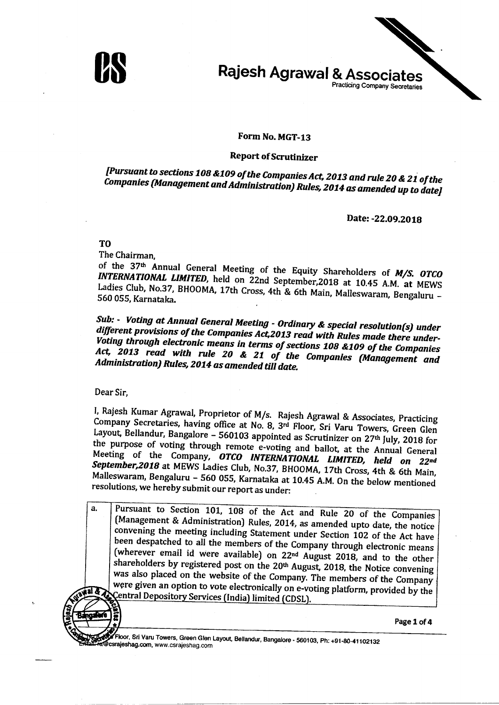



#### Form No. MGT-13

#### **Report of Scrutinizer**

[Pursuant to sections 108 &109 of the Companies Act, 2013 and rule 20 & 21 of the Companies (Management and Administration) Rules, 2014 as amended up to date]

Date: -22.09.2018

T<sub>O</sub>

The Chairman,

of the 37th Annual General Meeting of the Equity Shareholders of M/S. OTCO INTERNATIONAL LIMITED, held on 22nd September, 2018 at 10.45 A.M. at MEWS Ladies Club, No.37, BHOOMA, 17th Cross, 4th & 6th Main, Malleswaram, Bengaluru -560 055, Karnataka.

Sub: • Voting at Annual General Meeting - Ordinary & special resolution(s) under different provisions of the Companies Act, 2013 read with Rules made there under-Voting through electronic means in terms of sections 108 &109 of the Companies Act, 2013 read with rule 20 & 21 of the Companies (Management and Administration) Rules, 2014 as amended till date.

Dear Sir.

I, Rajesh Kumar Agrawal, Proprietor of M/s. Rajesh Agrawal & Associates, Practicing Company Secretaries, having office at No. 8, 3rd Floor, Sri Varu Towers, Green Glen Layout, Bellandur, Bangalore - 560103 appointed as Scrutinizer on 27<sup>th</sup> July, 2018 for the purpose of voting through remote e-voting and ballot, at the Annual General Meeting of the Company, OTCO INTERNATIONAL LIMITED, held on 22nd September, 2018 at MEWS Ladies Club, No.37, BHOOMA, 17th Cross, 4th & 6th Main, Malleswaram, Bengaluru - 560 055, Karnataka at 10.45 A.M. On the below mentioned resolutions, we hereby submit our report as under:

Pursuant to Section 101, 108 of the Act and Rule 20 of the Companies  $\mathbf{a}$ (Management & Administration) Rules, 2014, as amended upto date, the notice convening the meeting including Statement under Section 102 of the Act have been despatched to all the members of the Company through electronic means (wherever email id were available) on 22<sup>nd</sup> August 2018, and to the other shareholders by registered post on the 20<sup>th</sup> August, 2018, the Notice convening was also placed on the website of the Company. The members of the Company were given an option to vote electronically on e-voting platform, provided by the Central Depository Services (India) limited (CDSL).

Page 1 of 4

Floor, Sri Varu Towers, Green Glen Layout, Bellandur, Bangalore - 560103, Ph: +91-80-41102132 @csrajeshag.com, www.csrajeshag.com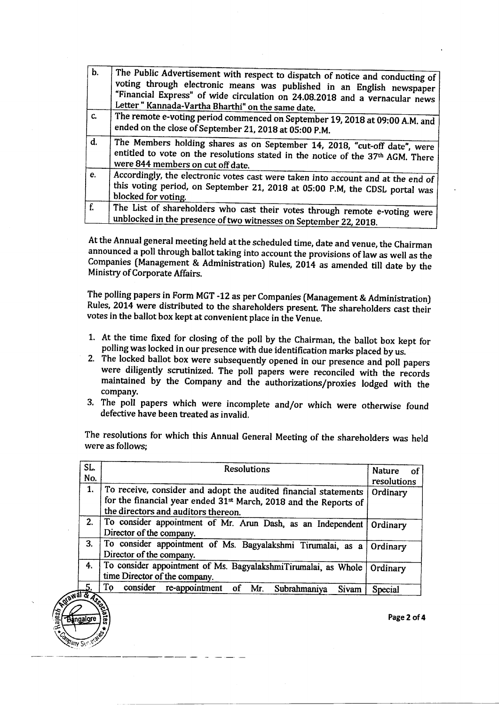| $\mathbf{b}$ . |                                                                                  |
|----------------|----------------------------------------------------------------------------------|
|                | The Public Advertisement with respect to dispatch of notice and conducting of    |
|                | voting through electronic means was published in an English newspaper            |
|                | "Financial Express" of wide circulation on 24.08.2018 and a vernacular news      |
|                | Letter" Kannada-Vartha Bharthi" on the same date.                                |
|                |                                                                                  |
| $C_{\bullet}$  | The remote e-voting period commenced on September 19, 2018 at 09:00 A.M. and     |
|                | ended on the close of September 21, 2018 at 05:00 P.M.                           |
|                |                                                                                  |
| d.             | The Members holding shares as on September 14, 2018, "cut-off date", were        |
|                | entitled to vote on the resolutions stated in the notice of the 37th AGM. There  |
|                | were 844 members on cut off date.                                                |
| $\mathbf{e}$ . |                                                                                  |
|                | Accordingly, the electronic votes cast were taken into account and at the end of |
|                | this voting period, on September 21, 2018 at 05:00 P.M, the CDSL portal was      |
|                | blocked for voting.                                                              |
| f.             |                                                                                  |
|                | The List of shareholders who cast their votes through remote e-voting were       |
|                | unblocked in the presence of two witnesses on September 22, 2018.                |

At the Annual general meeting held at the scheduled time, date and venue, the Chairman announced a poll through ballot taking into account the provisions of law as well as the Companies (Management & Administration) Rules, 2014 as amended till date by the Ministry of Corporate Affairs.

The polling papers in Form MGT -12 as per Companies (Management & Administration) Rules, 2014 were distributed to the shareholders present. The shareholders cast their votes in the ballot box kept at convenient place in the Venue.

- 1. At the time fixed for closing of the poll by the Chairman, the ballot box kept for polling was locked in our presence with due identification marks placed by us.<br>2. The locked ballot box were subsequently opened in our
- were diligently scrutinized. The poll papers were reconciled with the records maintained by the Company and the authorizations/proxies lodged with the company.
- 3. The poll papers which were incomplete and/or which were otherwise found defective have been treated as invalid.

The resolutions for which this Annual General Meeting of the shareholders was held were as follows;

| SL. | <b>Resolutions</b>                                                                                                                                                                     | <b>Nature</b><br>оf |
|-----|----------------------------------------------------------------------------------------------------------------------------------------------------------------------------------------|---------------------|
| No. |                                                                                                                                                                                        | resolutions         |
| 1.  | To receive, consider and adopt the audited financial statements<br>for the financial year ended 31 <sup>st</sup> March, 2018 and the Reports of<br>the directors and auditors thereon. | Ordinary            |
| 2.  | To consider appointment of Mr. Arun Dash, as an Independent<br>Director of the company.                                                                                                | Ordinary            |
| 3.  | To consider appointment of Ms. Bagyalakshmi Tirumalai, as a<br>Director of the company.                                                                                                | Ordinary            |
| 4.  | To consider appointment of Ms. BagyalakshmiTirumalai, as Whole<br>time Director of the company.                                                                                        | Ordinary            |
|     | To<br>consider re-appointment of Mr.<br>Subrahmaniya<br><b>Sivam</b><br><b>Jail &amp; Asset</b>                                                                                        | Special             |

 $\mathcal{P}_\mathcal{F}$ ,

t

Page2 of 4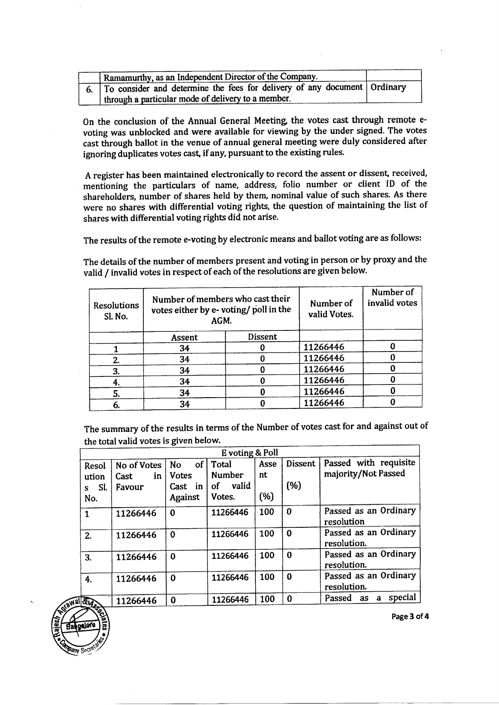| Ramamurthy, as an Independent Director of the Company.                        |  |  |  |  |  |
|-------------------------------------------------------------------------------|--|--|--|--|--|
| 6. To consider and determine the fees for delivery of any document   Ordinary |  |  |  |  |  |
| I through a particular mode of delivery to a member.                          |  |  |  |  |  |

On the conclusion of the Annual General Meeting the votes cast through remote evoting was unblocked and were available for viewing by the under signed. The votes cast through ballot in the venue of annual general meeting were duly considered after ignoring duplicates votes cast, if any, pursuant to the existing rules.

A register has been maintained electronically to record the assent or dissent, received, mentioning the particulars of name, address, folio number or client ID of the shareholders, number of shares held by them, nominal value of such shares. As there were no shares with differential voting rights, the question of maintaining the list of shares with differential voting rights did not arise.

The results of the remote e-voting by electronic means and ballot voting are as follows:

The details of the number of members present and voting in person or by proxy and the valid / invalid votes in respect of each of the resolutions are given below.

| <b>Resolutions</b><br>Sl. No. | Number of members who cast their<br>votes either by e-voting/poll in the<br>AGM. |         | Number of<br>valid Votes. | Number of<br>invalid votes |
|-------------------------------|----------------------------------------------------------------------------------|---------|---------------------------|----------------------------|
|                               | Assent                                                                           | Dissent |                           |                            |
|                               | 34                                                                               |         | 11266446                  |                            |
| 2.                            | 34                                                                               |         | 11266446                  |                            |
| 3.                            | 34                                                                               |         | 11266446                  |                            |
| 4.                            | 34                                                                               |         | 11266446                  |                            |
| 5.                            | 34                                                                               |         | 11266446                  |                            |
| 6.                            | 34                                                                               |         | 11266446                  |                            |

The summary of the results in terms of the Number of votes cast for and against out of the total valid votes is given below.

|                                   |                                      |                                                                       | E voting & Poll                                 |                   |                       |                                              |
|-----------------------------------|--------------------------------------|-----------------------------------------------------------------------|-------------------------------------------------|-------------------|-----------------------|----------------------------------------------|
| Resol<br>ution<br>SI.<br>s<br>No. | No of Votes<br>in<br>Cast.<br>Favour | of <sub>1</sub><br><b>No</b><br><b>Votes</b><br>Cast<br>in<br>Against | Total<br><b>Number</b><br>valid<br>of<br>Votes. | Asse<br>nt<br>(%) | <b>Dissent</b><br>(%) | Passed with requisite<br>majority/Not Passed |
| $\mathbf{1}$                      | 11266446                             | $\bf{0}$                                                              | 11266446                                        | 100               | $\bf{0}$              | Passed as an Ordinary<br>resolution          |
| 2.                                | 11266446                             | $\Omega$                                                              | 11266446                                        | 100               | 0                     | Passed as an Ordinary<br>resolution.         |
| 3.                                | 11266446                             | $\bf{0}$                                                              | 11266446                                        | 100               | $\bf{0}$              | Passed as an Ordinary<br>resolution.         |
| 4.                                | 11266446                             | $\bf{0}$                                                              | 11266446                                        | 100               | $\bf{0}$              | Passed as an Ordinary<br>resolution.         |
| <b>BASK</b>                       | 11266446                             | $\Omega$                                                              | 11266446                                        | 100               | 0                     | special<br>Passed as<br>a                    |



Page 3 of 4